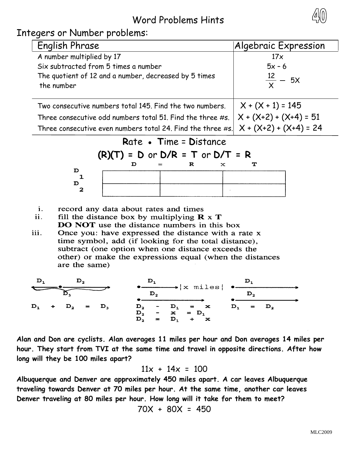## Word Problems Hints

Integers or Number problems:

 $\mathbf D$ 

 $\mathbf D$  $\mathbf{z}$ 

| English Phrase                                                                             | Algebraic Expression     |
|--------------------------------------------------------------------------------------------|--------------------------|
| A number multiplied by 17                                                                  | 17x                      |
| Six subtracted from 5 times a number                                                       | $5x - 6$                 |
| The quotient of 12 and a number, decreased by 5 times                                      | $\frac{12}{x}$ – 5X      |
| the number                                                                                 |                          |
| Two consecutive numbers total 145. Find the two numbers.                                   | $X + (X + 1) = 145$      |
| Three consecutive odd numbers total 51. Find the three #s.                                 | $X + (X+2) + (X+4) = 51$ |
| Three consecutive even numbers total 24. Find the three #s. $\vert$ X + (X+2) + (X+4) = 24 |                          |

## **R**ate **● T**ime = **D**istance



- record any data about rates and times i.
- fill the distance box by multiplying  $\mathbf{R} \times \mathbf{T}$ ii. DO NOT use the distance numbers in this box
- iii. Once you: have expressed the distance with a rate x time symbol, add (if looking for the total distance), subtract (one option when one distance exceeds the other) or make the expressions equal (when the distances are the same)



**Alan and Don are cyclists. Alan averages 11 miles per hour and Don averages 14 miles per hour. They start from TVI at the same time and travel in opposite directions. After how long will they be 100 miles apart?**

$$
11x + 14x = 100
$$

**Albuquerque and Denver are approximately 450 miles apart. A car leaves Albuquerque traveling towards Denver at 70 miles per hour. At the same time, another car leaves Denver traveling at 80 miles per hour. How long will it take for them to meet?**

$$
70X + 80X = 450
$$